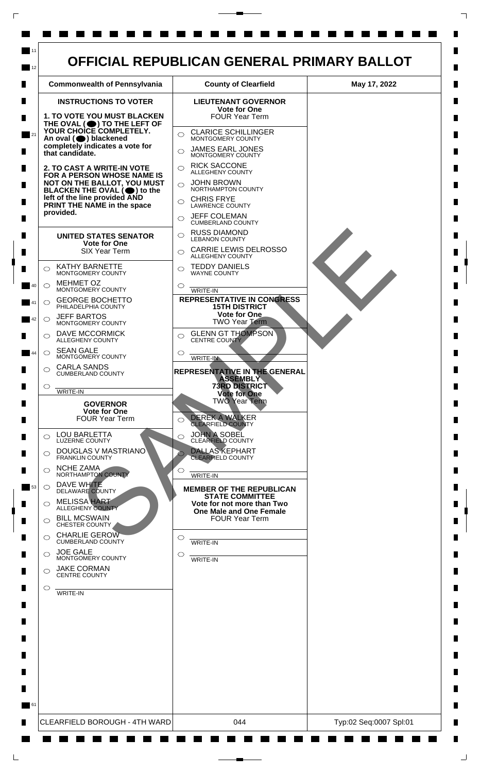

 $\mathsf{L}$